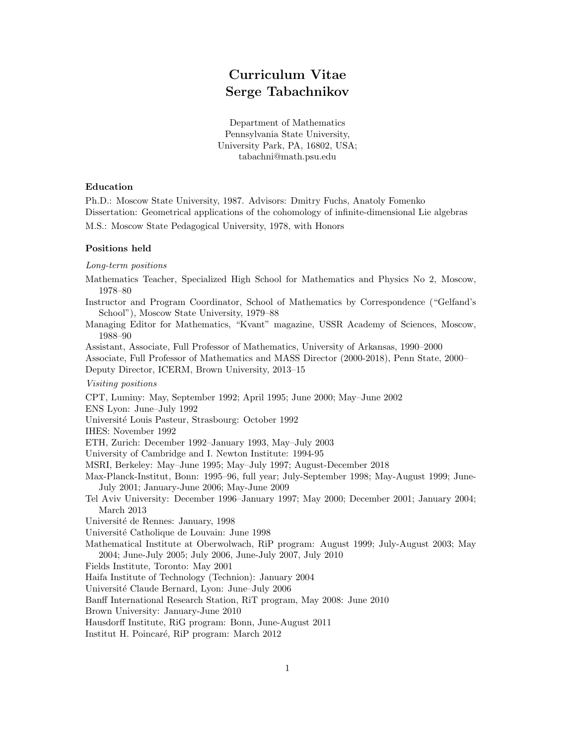# Curriculum Vitae Serge Tabachnikov

Department of Mathematics Pennsylvania State University, University Park, PA, 16802, USA; tabachni@math.psu.edu

# Education

Ph.D.: Moscow State University, 1987. Advisors: Dmitry Fuchs, Anatoly Fomenko Dissertation: Geometrical applications of the cohomology of infinite-dimensional Lie algebras

M.S.: Moscow State Pedagogical University, 1978, with Honors

## Positions held

Long-term positions

Mathematics Teacher, Specialized High School for Mathematics and Physics No 2, Moscow, 1978–80

Instructor and Program Coordinator, School of Mathematics by Correspondence ("Gelfand's School"), Moscow State University, 1979–88

Managing Editor for Mathematics, "Kvant" magazine, USSR Academy of Sciences, Moscow, 1988–90

Assistant, Associate, Full Professor of Mathematics, University of Arkansas, 1990–2000

Associate, Full Professor of Mathematics and MASS Director (2000-2018), Penn State, 2000–

Deputy Director, ICERM, Brown University, 2013–15

Visiting positions

CPT, Luminy: May, September 1992; April 1995; June 2000; May–June 2002

ENS Lyon: June–July 1992

Université Louis Pasteur, Strasbourg: October 1992

IHES: November 1992

ETH, Zurich: December 1992–January 1993, May–July 2003

University of Cambridge and I. Newton Institute: 1994-95

MSRI, Berkeley: May–June 1995; May–July 1997; August-December 2018

- Max-Planck-Institut, Bonn: 1995–96, full year; July-September 1998; May-August 1999; June-July 2001; January-June 2006; May-June 2009
- Tel Aviv University: December 1996–January 1997; May 2000; December 2001; January 2004; March 2013

Université de Rennes: January, 1998

Université Catholique de Louvain: June 1998

Mathematical Institute at Oberwolwach, RiP program: August 1999; July-August 2003; May 2004; June-July 2005; July 2006, June-July 2007, July 2010

Fields Institute, Toronto: May 2001

Haifa Institute of Technology (Technion): January 2004

Universit´e Claude Bernard, Lyon: June–July 2006

Banff International Research Station, RiT program, May 2008: June 2010

Brown University: January-June 2010

Hausdorff Institute, RiG program: Bonn, June-August 2011

Institut H. Poincar´e, RiP program: March 2012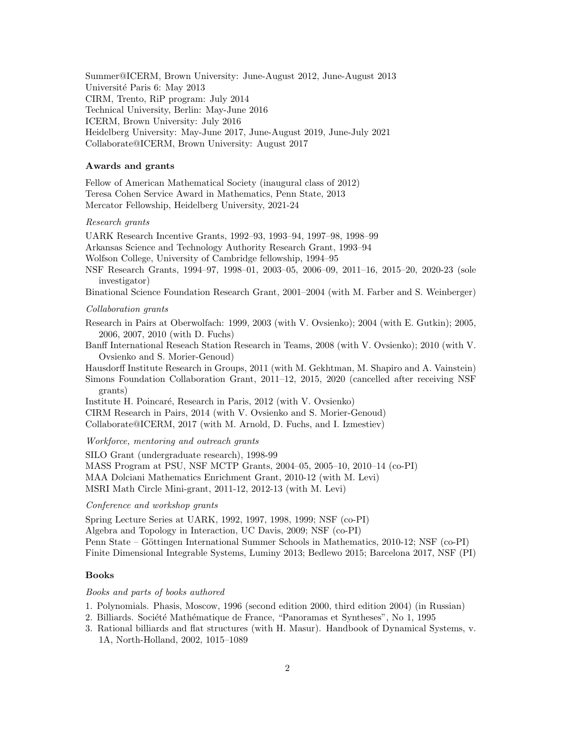Summer@ICERM, Brown University: June-August 2012, June-August 2013 Université Paris 6: May 2013 CIRM, Trento, RiP program: July 2014 Technical University, Berlin: May-June 2016 ICERM, Brown University: July 2016 Heidelberg University: May-June 2017, June-August 2019, June-July 2021 Collaborate@ICERM, Brown University: August 2017

## Awards and grants

Fellow of American Mathematical Society (inaugural class of 2012) Teresa Cohen Service Award in Mathematics, Penn State, 2013 Mercator Fellowship, Heidelberg University, 2021-24

#### Research grants

UARK Research Incentive Grants, 1992–93, 1993–94, 1997–98, 1998–99

Arkansas Science and Technology Authority Research Grant, 1993–94

Wolfson College, University of Cambridge fellowship, 1994–95

NSF Research Grants, 1994–97, 1998–01, 2003–05, 2006–09, 2011–16, 2015–20, 2020-23 (sole investigator)

Binational Science Foundation Research Grant, 2001–2004 (with M. Farber and S. Weinberger)

## Collaboration grants

Research in Pairs at Oberwolfach: 1999, 2003 (with V. Ovsienko); 2004 (with E. Gutkin); 2005, 2006, 2007, 2010 (with D. Fuchs)

Banff International Reseach Station Research in Teams, 2008 (with V. Ovsienko); 2010 (with V. Ovsienko and S. Morier-Genoud)

Hausdorff Institute Research in Groups, 2011 (with M. Gekhtman, M. Shapiro and A. Vainstein) Simons Foundation Collaboration Grant, 2011–12, 2015, 2020 (cancelled after receiving NSF grants)

Institute H. Poincaré, Research in Paris, 2012 (with V. Ovsienko)

CIRM Research in Pairs, 2014 (with V. Ovsienko and S. Morier-Genoud)

Collaborate@ICERM, 2017 (with M. Arnold, D. Fuchs, and I. Izmestiev)

Workforce, mentoring and outreach grants

SILO Grant (undergraduate research), 1998-99 MASS Program at PSU, NSF MCTP Grants, 2004–05, 2005–10, 2010–14 (co-PI) MAA Dolciani Mathematics Enrichment Grant, 2010-12 (with M. Levi) MSRI Math Circle Mini-grant, 2011-12, 2012-13 (with M. Levi)

## Conference and workshop grants

Spring Lecture Series at UARK, 1992, 1997, 1998, 1999; NSF (co-PI) Algebra and Topology in Interaction, UC Davis, 2009; NSF (co-PI) Penn State – Göttingen International Summer Schools in Mathematics, 2010-12; NSF (co-PI) Finite Dimensional Integrable Systems, Luminy 2013; Bedlewo 2015; Barcelona 2017, NSF (PI)

#### Books

#### Books and parts of books authored

- 1. Polynomials. Phasis, Moscow, 1996 (second edition 2000, third edition 2004) (in Russian)
- 2. Billiards. Société Mathématique de France, "Panoramas et Syntheses", No 1, 1995
- 3. Rational billiards and flat structures (with H. Masur). Handbook of Dynamical Systems, v. 1A, North-Holland, 2002, 1015–1089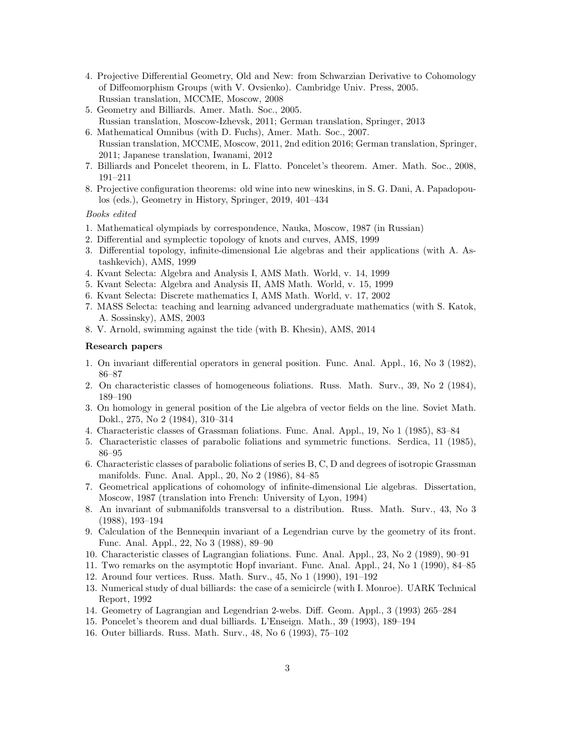- 4. Projective Differential Geometry, Old and New: from Schwarzian Derivative to Cohomology of Diffeomorphism Groups (with V. Ovsienko). Cambridge Univ. Press, 2005. Russian translation, MCCME, Moscow, 2008
- 5. Geometry and Billiards. Amer. Math. Soc., 2005. Russian translation, Moscow-Izhevsk, 2011; German translation, Springer, 2013
- 6. Mathematical Omnibus (with D. Fuchs), Amer. Math. Soc., 2007. Russian translation, MCCME, Moscow, 2011, 2nd edition 2016; German translation, Springer, 2011; Japanese translation, Iwanami, 2012
- 7. Billiards and Poncelet theorem, in L. Flatto. Poncelet's theorem. Amer. Math. Soc., 2008, 191–211
- 8. Projective configuration theorems: old wine into new wineskins, in S. G. Dani, A. Papadopoulos (eds.), Geometry in History, Springer, 2019, 401–434

Books edited

- 1. Mathematical olympiads by correspondence, Nauka, Moscow, 1987 (in Russian)
- 2. Differential and symplectic topology of knots and curves, AMS, 1999
- 3. Differential topology, infinite-dimensional Lie algebras and their applications (with A. Astashkevich), AMS, 1999
- 4. Kvant Selecta: Algebra and Analysis I, AMS Math. World, v. 14, 1999
- 5. Kvant Selecta: Algebra and Analysis II, AMS Math. World, v. 15, 1999
- 6. Kvant Selecta: Discrete mathematics I, AMS Math. World, v. 17, 2002
- 7. MASS Selecta: teaching and learning advanced undergraduate mathematics (with S. Katok, A. Sossinsky), AMS, 2003
- 8. V. Arnold, swimming against the tide (with B. Khesin), AMS, 2014

# Research papers

- 1. On invariant differential operators in general position. Func. Anal. Appl., 16, No 3 (1982), 86–87
- 2. On characteristic classes of homogeneous foliations. Russ. Math. Surv., 39, No 2 (1984), 189–190
- 3. On homology in general position of the Lie algebra of vector fields on the line. Soviet Math. Dokl., 275, No 2 (1984), 310–314
- 4. Characteristic classes of Grassman foliations. Func. Anal. Appl., 19, No 1 (1985), 83–84
- 5. Characteristic classes of parabolic foliations and symmetric functions. Serdica, 11 (1985), 86–95
- 6. Characteristic classes of parabolic foliations of series B, C, D and degrees of isotropic Grassman manifolds. Func. Anal. Appl., 20, No 2 (1986), 84–85
- 7. Geometrical applications of cohomology of infinite-dimensional Lie algebras. Dissertation, Moscow, 1987 (translation into French: University of Lyon, 1994)
- 8. An invariant of submanifolds transversal to a distribution. Russ. Math. Surv., 43, No 3 (1988), 193–194
- 9. Calculation of the Bennequin invariant of a Legendrian curve by the geometry of its front. Func. Anal. Appl., 22, No 3 (1988), 89–90
- 10. Characteristic classes of Lagrangian foliations. Func. Anal. Appl., 23, No 2 (1989), 90–91
- 11. Two remarks on the asymptotic Hopf invariant. Func. Anal. Appl., 24, No 1 (1990), 84–85
- 12. Around four vertices. Russ. Math. Surv., 45, No 1 (1990), 191–192
- 13. Numerical study of dual billiards: the case of a semicircle (with I. Monroe). UARK Technical Report, 1992
- 14. Geometry of Lagrangian and Legendrian 2-webs. Diff. Geom. Appl., 3 (1993) 265–284
- 15. Poncelet's theorem and dual billiards. L'Enseign. Math., 39 (1993), 189–194
- 16. Outer billiards. Russ. Math. Surv., 48, No 6 (1993), 75–102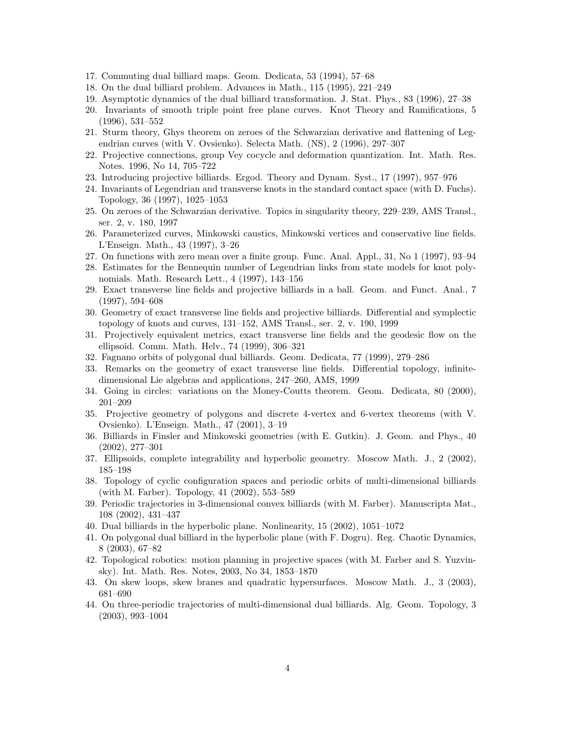- 17. Commuting dual billiard maps. Geom. Dedicata, 53 (1994), 57–68
- 18. On the dual billiard problem. Advances in Math., 115 (1995), 221–249
- 19. Asymptotic dynamics of the dual billiard transformation. J. Stat. Phys., 83 (1996), 27–38
- 20. Invariants of smooth triple point free plane curves. Knot Theory and Ramifications, 5 (1996), 531–552
- 21. Sturm theory, Ghys theorem on zeroes of the Schwarzian derivative and flattening of Legendrian curves (with V. Ovsienko). Selecta Math. (NS), 2 (1996), 297–307
- 22. Projective connections, group Vey cocycle and deformation quantization. Int. Math. Res. Notes. 1996, No 14, 705–722
- 23. Introducing projective billiards. Ergod. Theory and Dynam. Syst., 17 (1997), 957–976
- 24. Invariants of Legendrian and transverse knots in the standard contact space (with D. Fuchs). Topology, 36 (1997), 1025–1053
- 25. On zeroes of the Schwarzian derivative. Topics in singularity theory, 229–239, AMS Transl., ser. 2, v. 180, 1997
- 26. Parameterized curves, Minkowski caustics, Minkowski vertices and conservative line fields. L'Enseign. Math., 43 (1997), 3–26
- 27. On functions with zero mean over a finite group. Func. Anal. Appl., 31, No 1 (1997), 93–94
- 28. Estimates for the Bennequin number of Legendrian links from state models for knot polynomials. Math. Research Lett., 4 (1997), 143–156
- 29. Exact transverse line fields and projective billiards in a ball. Geom. and Funct. Anal., 7 (1997), 594–608
- 30. Geometry of exact transverse line fields and projective billiards. Differential and symplectic topology of knots and curves, 131–152, AMS Transl., ser. 2, v. 190, 1999
- 31. Projectively equivalent metrics, exact transverse line fields and the geodesic flow on the ellipsoid. Comm. Math. Helv., 74 (1999), 306–321
- 32. Fagnano orbits of polygonal dual billiards. Geom. Dedicata, 77 (1999), 279–286
- 33. Remarks on the geometry of exact transverse line fields. Differential topology, infinitedimensional Lie algebras and applications, 247–260, AMS, 1999
- 34. Going in circles: variations on the Money-Coutts theorem. Geom. Dedicata, 80 (2000), 201–209
- 35. Projective geometry of polygons and discrete 4-vertex and 6-vertex theorems (with V. Ovsienko). L'Enseign. Math., 47 (2001), 3–19
- 36. Billiards in Finsler and Minkowski geometries (with E. Gutkin). J. Geom. and Phys., 40 (2002), 277–301
- 37. Ellipsoids, complete integrability and hyperbolic geometry. Moscow Math. J., 2 (2002), 185–198
- 38. Topology of cyclic configuration spaces and periodic orbits of multi-dimensional billiards (with M. Farber). Topology, 41 (2002), 553–589
- 39. Periodic trajectories in 3-dimensional convex billiards (with M. Farber). Manuscripta Mat., 108 (2002), 431–437
- 40. Dual billiards in the hyperbolic plane. Nonlinearity, 15 (2002), 1051–1072
- 41. On polygonal dual billiard in the hyperbolic plane (with F. Dogru). Reg. Chaotic Dynamics, 8 (2003), 67–82
- 42. Topological robotics: motion planning in projective spaces (with M. Farber and S. Yuzvinsky). Int. Math. Res. Notes, 2003, No 34, 1853–1870
- 43. On skew loops, skew branes and quadratic hypersurfaces. Moscow Math. J., 3 (2003), 681–690
- 44. On three-periodic trajectories of multi-dimensional dual billiards. Alg. Geom. Topology, 3 (2003), 993–1004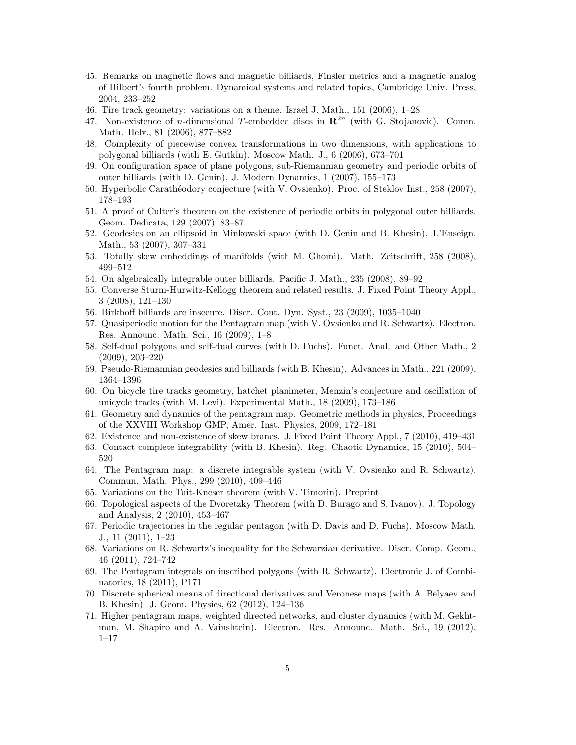- 45. Remarks on magnetic flows and magnetic billiards, Finsler metrics and a magnetic analog of Hilbert's fourth problem. Dynamical systems and related topics, Cambridge Univ. Press, 2004, 233–252
- 46. Tire track geometry: variations on a theme. Israel J. Math., 151 (2006), 1–28
- 47. Non-existence of *n*-dimensional T-embedded discs in  $\mathbb{R}^{2n}$  (with G. Stojanovic). Comm. Math. Helv., 81 (2006), 877–882
- 48. Complexity of piecewise convex transformations in two dimensions, with applications to polygonal billiards (with E. Gutkin). Moscow Math. J., 6 (2006), 673–701
- 49. On configuration space of plane polygons, sub-Riemannian geometry and periodic orbits of outer billiards (with D. Genin). J. Modern Dynamics, 1 (2007), 155–173
- 50. Hyperbolic Carath´eodory conjecture (with V. Ovsienko). Proc. of Steklov Inst., 258 (2007), 178–193
- 51. A proof of Culter's theorem on the existence of periodic orbits in polygonal outer billiards. Geom. Dedicata, 129 (2007), 83–87
- 52. Geodesics on an ellipsoid in Minkowski space (with D. Genin and B. Khesin). L'Enseign. Math., 53 (2007), 307–331
- 53. Totally skew embeddings of manifolds (with M. Ghomi). Math. Zeitschrift, 258 (2008), 499–512
- 54. On algebraically integrable outer billiards. Pacific J. Math., 235 (2008), 89–92
- 55. Converse Sturm-Hurwitz-Kellogg theorem and related results. J. Fixed Point Theory Appl., 3 (2008), 121–130
- 56. Birkhoff billiards are insecure. Discr. Cont. Dyn. Syst., 23 (2009), 1035–1040
- 57. Quasiperiodic motion for the Pentagram map (with V. Ovsienko and R. Schwartz). Electron. Res. Announc. Math. Sci., 16 (2009), 1–8
- 58. Self-dual polygons and self-dual curves (with D. Fuchs). Funct. Anal. and Other Math., 2 (2009), 203–220
- 59. Pseudo-Riemannian geodesics and billiards (with B. Khesin). Advances in Math., 221 (2009), 1364–1396
- 60. On bicycle tire tracks geometry, hatchet planimeter, Menzin's conjecture and oscillation of unicycle tracks (with M. Levi). Experimental Math., 18 (2009), 173–186
- 61. Geometry and dynamics of the pentagram map. Geometric methods in physics, Proceedings of the XXVIII Workshop GMP, Amer. Inst. Physics, 2009, 172–181
- 62. Existence and non-existence of skew branes. J. Fixed Point Theory Appl., 7 (2010), 419–431
- 63. Contact complete integrability (with B. Khesin). Reg. Chaotic Dynamics, 15 (2010), 504– 520
- 64. The Pentagram map: a discrete integrable system (with V. Ovsienko and R. Schwartz). Commun. Math. Phys., 299 (2010), 409–446
- 65. Variations on the Tait-Kneser theorem (with V. Timorin). Preprint
- 66. Topological aspects of the Dvoretzky Theorem (with D. Burago and S. Ivanov). J. Topology and Analysis, 2 (2010), 453–467
- 67. Periodic trajectories in the regular pentagon (with D. Davis and D. Fuchs). Moscow Math. J., 11 (2011), 1–23
- 68. Variations on R. Schwartz's inequality for the Schwarzian derivative. Discr. Comp. Geom., 46 (2011), 724–742
- 69. The Pentagram integrals on inscribed polygons (with R. Schwartz). Electronic J. of Combinatorics, 18 (2011), P171
- 70. Discrete spherical means of directional derivatives and Veronese maps (with A. Belyaev and B. Khesin). J. Geom. Physics, 62 (2012), 124–136
- 71. Higher pentagram maps, weighted directed networks, and cluster dynamics (with M. Gekhtman, M. Shapiro and A. Vainshtein). Electron. Res. Announc. Math. Sci., 19 (2012), 1–17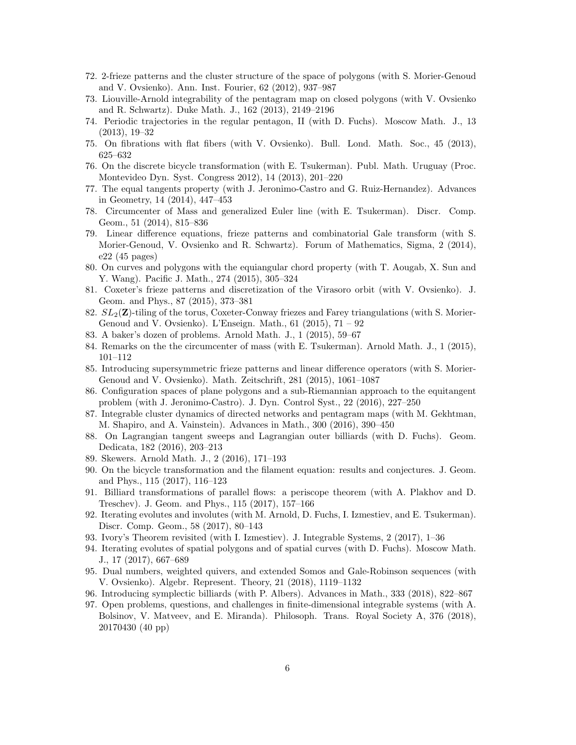- 72. 2-frieze patterns and the cluster structure of the space of polygons (with S. Morier-Genoud and V. Ovsienko). Ann. Inst. Fourier, 62 (2012), 937–987
- 73. Liouville-Arnold integrability of the pentagram map on closed polygons (with V. Ovsienko and R. Schwartz). Duke Math. J., 162 (2013), 2149–2196
- 74. Periodic trajectories in the regular pentagon, II (with D. Fuchs). Moscow Math. J., 13 (2013), 19–32
- 75. On fibrations with flat fibers (with V. Ovsienko). Bull. Lond. Math. Soc., 45 (2013), 625–632
- 76. On the discrete bicycle transformation (with E. Tsukerman). Publ. Math. Uruguay (Proc. Montevideo Dyn. Syst. Congress 2012), 14 (2013), 201–220
- 77. The equal tangents property (with J. Jeronimo-Castro and G. Ruiz-Hernandez). Advances in Geometry, 14 (2014), 447–453
- 78. Circumcenter of Mass and generalized Euler line (with E. Tsukerman). Discr. Comp. Geom., 51 (2014), 815–836
- 79. Linear difference equations, frieze patterns and combinatorial Gale transform (with S. Morier-Genoud, V. Ovsienko and R. Schwartz). Forum of Mathematics, Sigma, 2 (2014), e22 (45 pages)
- 80. On curves and polygons with the equiangular chord property (with T. Aougab, X. Sun and Y. Wang). Pacific J. Math., 274 (2015), 305–324
- 81. Coxeter's frieze patterns and discretization of the Virasoro orbit (with V. Ovsienko). J. Geom. and Phys., 87 (2015), 373–381
- 82.  $SL_2(\mathbf{Z})$ -tiling of the torus, Coxeter-Conway friezes and Farey triangulations (with S. Morier-Genoud and V. Ovsienko). L'Enseign. Math., 61 (2015), 71 – 92
- 83. A baker's dozen of problems. Arnold Math. J., 1 (2015), 59–67
- 84. Remarks on the the circumcenter of mass (with E. Tsukerman). Arnold Math. J., 1 (2015), 101–112
- 85. Introducing supersymmetric frieze patterns and linear difference operators (with S. Morier-Genoud and V. Ovsienko). Math. Zeitschrift, 281 (2015), 1061–1087
- 86. Configuration spaces of plane polygons and a sub-Riemannian approach to the equitangent problem (with J. Jeronimo-Castro). J. Dyn. Control Syst., 22 (2016), 227–250
- 87. Integrable cluster dynamics of directed networks and pentagram maps (with M. Gekhtman, M. Shapiro, and A. Vainstein). Advances in Math., 300 (2016), 390–450
- 88. On Lagrangian tangent sweeps and Lagrangian outer billiards (with D. Fuchs). Geom. Dedicata, 182 (2016), 203–213
- 89. Skewers. Arnold Math. J., 2 (2016), 171–193
- 90. On the bicycle transformation and the filament equation: results and conjectures. J. Geom. and Phys., 115 (2017), 116–123
- 91. Billiard transformations of parallel flows: a periscope theorem (with A. Plakhov and D. Treschev). J. Geom. and Phys., 115 (2017), 157–166
- 92. Iterating evolutes and involutes (with M. Arnold, D. Fuchs, I. Izmestiev, and E. Tsukerman). Discr. Comp. Geom., 58 (2017), 80–143
- 93. Ivory's Theorem revisited (with I. Izmestiev). J. Integrable Systems, 2 (2017), 1–36
- 94. Iterating evolutes of spatial polygons and of spatial curves (with D. Fuchs). Moscow Math. J., 17 (2017), 667–689
- 95. Dual numbers, weighted quivers, and extended Somos and Gale-Robinson sequences (with V. Ovsienko). Algebr. Represent. Theory, 21 (2018), 1119–1132
- 96. Introducing symplectic billiards (with P. Albers). Advances in Math., 333 (2018), 822–867
- 97. Open problems, questions, and challenges in finite-dimensional integrable systems (with A. Bolsinov, V. Matveev, and E. Miranda). Philosoph. Trans. Royal Society A, 376 (2018), 20170430 (40 pp)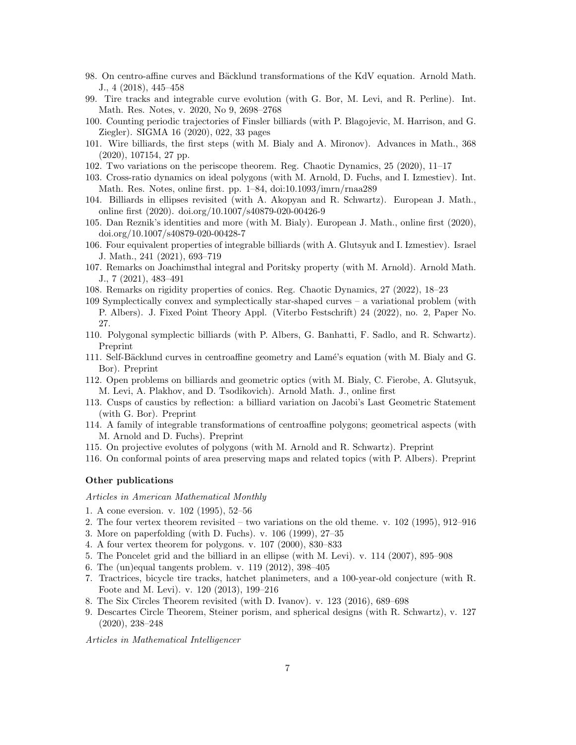- 98. On centro-affine curves and Bäcklund transformations of the KdV equation. Arnold Math. J., 4 (2018), 445–458
- 99. Tire tracks and integrable curve evolution (with G. Bor, M. Levi, and R. Perline). Int. Math. Res. Notes, v. 2020, No 9, 2698–2768
- 100. Counting periodic trajectories of Finsler billiards (with P. Blagojevic, M. Harrison, and G. Ziegler). SIGMA 16 (2020), 022, 33 pages
- 101. Wire billiards, the first steps (with M. Bialy and A. Mironov). Advances in Math., 368 (2020), 107154, 27 pp.
- 102. Two variations on the periscope theorem. Reg. Chaotic Dynamics, 25 (2020), 11–17
- 103. Cross-ratio dynamics on ideal polygons (with M. Arnold, D. Fuchs, and I. Izmestiev). Int. Math. Res. Notes, online first. pp. 1–84, doi:10.1093/imrn/rnaa289
- 104. Billiards in ellipses revisited (with A. Akopyan and R. Schwartz). European J. Math., online first (2020). doi.org/10.1007/s40879-020-00426-9
- 105. Dan Reznik's identities and more (with M. Bialy). European J. Math., online first (2020), doi.org/10.1007/s40879-020-00428-7
- 106. Four equivalent properties of integrable billiards (with A. Glutsyuk and I. Izmestiev). Israel J. Math., 241 (2021), 693–719
- 107. Remarks on Joachimsthal integral and Poritsky property (with M. Arnold). Arnold Math. J., 7 (2021), 483–491
- 108. Remarks on rigidity properties of conics. Reg. Chaotic Dynamics, 27 (2022), 18–23
- 109 Symplectically convex and symplectically star-shaped curves a variational problem (with P. Albers). J. Fixed Point Theory Appl. (Viterbo Festschrift) 24 (2022), no. 2, Paper No. 27.
- 110. Polygonal symplectic billiards (with P. Albers, G. Banhatti, F. Sadlo, and R. Schwartz). Preprint
- 111. Self-Bäcklund curves in centroaffine geometry and Lamé's equation (with M. Bialy and G. Bor). Preprint
- 112. Open problems on billiards and geometric optics (with M. Bialy, C. Fierobe, A. Glutsyuk, M. Levi, A. Plakhov, and D. Tsodikovich). Arnold Math. J., online first
- 113. Cusps of caustics by reflection: a billiard variation on Jacobi's Last Geometric Statement (with G. Bor). Preprint
- 114. A family of integrable transformations of centroaffine polygons; geometrical aspects (with M. Arnold and D. Fuchs). Preprint
- 115. On projective evolutes of polygons (with M. Arnold and R. Schwartz). Preprint
- 116. On conformal points of area preserving maps and related topics (with P. Albers). Preprint

## Other publications

## Articles in American Mathematical Monthly

- 1. A cone eversion. v. 102 (1995), 52–56
- 2. The four vertex theorem revisited two variations on the old theme. v. 102 (1995), 912–916
- 3. More on paperfolding (with D. Fuchs). v. 106 (1999), 27–35
- 4. A four vertex theorem for polygons. v. 107 (2000), 830–833
- 5. The Poncelet grid and the billiard in an ellipse (with M. Levi). v. 114 (2007), 895–908
- 6. The (un)equal tangents problem. v. 119 (2012), 398–405
- 7. Tractrices, bicycle tire tracks, hatchet planimeters, and a 100-year-old conjecture (with R. Foote and M. Levi). v. 120 (2013), 199–216
- 8. The Six Circles Theorem revisited (with D. Ivanov). v. 123 (2016), 689–698
- 9. Descartes Circle Theorem, Steiner porism, and spherical designs (with R. Schwartz), v. 127 (2020), 238–248

Articles in Mathematical Intelligencer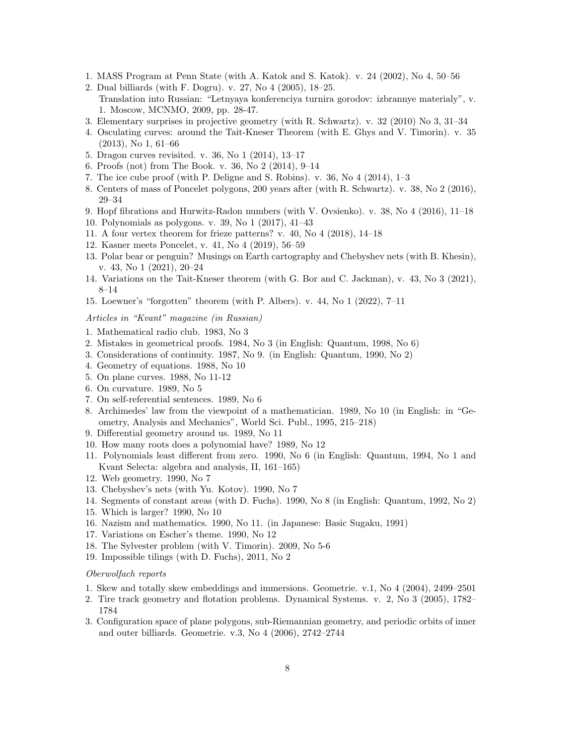- 1. MASS Program at Penn State (with A. Katok and S. Katok). v. 24 (2002), No 4, 50–56
- 2. Dual billiards (with F. Dogru). v. 27, No 4 (2005), 18–25. Translation into Russian: "Letnyaya konferenciya turnira gorodov: izbrannye materialy", v. 1. Moscow, MCNMO, 2009, pp. 28-47.
- 3. Elementary surprises in projective geometry (with R. Schwartz). v. 32 (2010) No 3, 31–34
- 4. Osculating curves: around the Tait-Kneser Theorem (with E. Ghys and V. Timorin). v. 35 (2013), No 1, 61–66
- 5. Dragon curves revisited. v. 36, No 1 (2014), 13–17
- 6. Proofs (not) from The Book. v. 36, No 2 (2014), 9–14
- 7. The ice cube proof (with P. Deligne and S. Robins). v. 36, No 4 (2014), 1–3
- 8. Centers of mass of Poncelet polygons, 200 years after (with R. Schwartz). v. 38, No 2 (2016), 29–34
- 9. Hopf fibrations and Hurwitz-Radon numbers (with V. Ovsienko). v. 38, No 4 (2016), 11–18
- 10. Polynomials as polygons. v. 39, No 1 (2017), 41–43
- 11. A four vertex theorem for frieze patterns? v. 40, No 4 (2018), 14–18
- 12. Kasner meets Poncelet, v. 41, No 4 (2019), 56–59
- 13. Polar bear or penguin? Musings on Earth cartography and Chebyshev nets (with B. Khesin), v. 43, No 1 (2021), 20–24
- 14. Variations on the Tait-Kneser theorem (with G. Bor and C. Jackman), v. 43, No 3 (2021), 8–14
- 15. Loewner's "forgotten" theorem (with P. Albers). v. 44, No 1 (2022), 7–11

Articles in "Kvant" magazine (in Russian)

- 1. Mathematical radio club. 1983, No 3
- 2. Mistakes in geometrical proofs. 1984, No 3 (in English: Quantum, 1998, No 6)
- 3. Considerations of continuity. 1987, No 9. (in English: Quantum, 1990, No 2)
- 4. Geometry of equations. 1988, No 10
- 5. On plane curves. 1988, No 11-12
- 6. On curvature. 1989, No 5
- 7. On self-referential sentences. 1989, No 6
- 8. Archimedes' law from the viewpoint of a mathematician. 1989, No 10 (in English: in "Geometry, Analysis and Mechanics", World Sci. Publ., 1995, 215–218)
- 9. Differential geometry around us. 1989, No 11
- 10. How many roots does a polynomial have? 1989, No 12
- 11. Polynomials least different from zero. 1990, No 6 (in English: Quantum, 1994, No 1 and Kvant Selecta: algebra and analysis, II, 161–165)
- 12. Web geometry. 1990, No 7
- 13. Chebyshev's nets (with Yu. Kotov). 1990, No 7
- 14. Segments of constant areas (with D. Fuchs). 1990, No 8 (in English: Quantum, 1992, No 2)
- 15. Which is larger? 1990, No 10
- 16. Nazism and mathematics. 1990, No 11. (in Japanese: Basic Sugaku, 1991)
- 17. Variations on Escher's theme. 1990, No 12
- 18. The Sylvester problem (with V. Timorin). 2009, No 5-6
- 19. Impossible tilings (with D. Fuchs), 2011, No 2

## Oberwolfach reports

- 1. Skew and totally skew embeddings and immersions. Geometrie. v.1, No 4 (2004), 2499–2501
- 2. Tire track geometry and flotation problems. Dynamical Systems. v. 2, No 3 (2005), 1782– 1784
- 3. Configuration space of plane polygons, sub-Riemannian geometry, and periodic orbits of inner and outer billiards. Geometrie. v.3, No 4 (2006), 2742–2744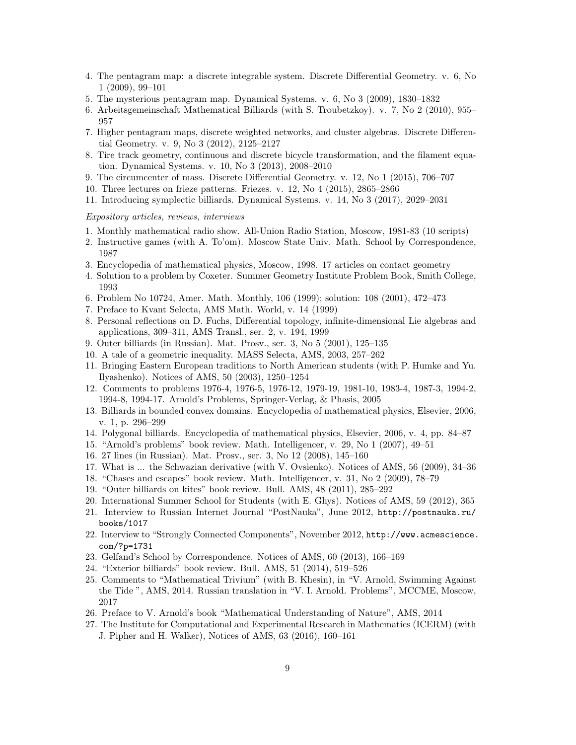- 4. The pentagram map: a discrete integrable system. Discrete Differential Geometry. v. 6, No 1 (2009), 99–101
- 5. The mysterious pentagram map. Dynamical Systems. v. 6, No 3 (2009), 1830–1832
- 6. Arbeitsgemeinschaft Mathematical Billiards (with S. Troubetzkoy). v. 7, No 2 (2010), 955– 957
- 7. Higher pentagram maps, discrete weighted networks, and cluster algebras. Discrete Differential Geometry. v. 9, No 3 (2012), 2125–2127
- 8. Tire track geometry, continuous and discrete bicycle transformation, and the filament equation. Dynamical Systems. v. 10, No 3 (2013), 2008–2010
- 9. The circumcenter of mass. Discrete Differential Geometry. v. 12, No 1 (2015), 706–707
- 10. Three lectures on frieze patterns. Friezes. v. 12, No 4 (2015), 2865–2866
- 11. Introducing symplectic billiards. Dynamical Systems. v. 14, No 3 (2017), 2029–2031

#### Expository articles, reviews, interviews

- 1. Monthly mathematical radio show. All-Union Radio Station, Moscow, 1981-83 (10 scripts)
- 2. Instructive games (with A. To'om). Moscow State Univ. Math. School by Correspondence, 1987
- 3. Encyclopedia of mathematical physics, Moscow, 1998. 17 articles on contact geometry
- 4. Solution to a problem by Coxeter. Summer Geometry Institute Problem Book, Smith College, 1993
- 6. Problem No 10724, Amer. Math. Monthly, 106 (1999); solution: 108 (2001), 472–473
- 7. Preface to Kvant Selecta, AMS Math. World, v. 14 (1999)
- 8. Personal reflections on D. Fuchs, Differential topology, infinite-dimensional Lie algebras and applications, 309–311, AMS Transl., ser. 2, v. 194, 1999
- 9. Outer billiards (in Russian). Mat. Prosv., ser. 3, No 5 (2001), 125–135
- 10. A tale of a geometric inequality. MASS Selecta, AMS, 2003, 257–262
- 11. Bringing Eastern European traditions to North American students (with P. Humke and Yu. Ilyashenko). Notices of AMS, 50 (2003), 1250–1254
- 12. Comments to problems 1976-4, 1976-5, 1976-12, 1979-19, 1981-10, 1983-4, 1987-3, 1994-2, 1994-8, 1994-17. Arnold's Problems, Springer-Verlag, & Phasis, 2005
- 13. Billiards in bounded convex domains. Encyclopedia of mathematical physics, Elsevier, 2006, v. 1, p. 296–299
- 14. Polygonal billiards. Encyclopedia of mathematical physics, Elsevier, 2006, v. 4, pp. 84–87
- 15. "Arnold's problems" book review. Math. Intelligencer, v. 29, No 1 (2007), 49–51
- 16. 27 lines (in Russian). Mat. Prosv., ser. 3, No 12 (2008), 145–160
- 17. What is ... the Schwazian derivative (with V. Ovsienko). Notices of AMS, 56 (2009), 34–36
- 18. "Chases and escapes" book review. Math. Intelligencer, v. 31, No 2 (2009), 78–79
- 19. "Outer billiards on kites" book review. Bull. AMS, 48 (2011), 285–292
- 20. International Summer School for Students (with E. Ghys). Notices of AMS, 59 (2012), 365
- 21. Interview to Russian Internet Journal "PostNauka", June 2012, http://postnauka.ru/ books/1017
- 22. Interview to "Strongly Connected Components", November 2012, http://www.acmescience. com/?p=1731
- 23. Gelfand's School by Correspondence. Notices of AMS, 60 (2013), 166–169
- 24. "Exterior billiards" book review. Bull. AMS, 51 (2014), 519–526
- 25. Comments to "Mathematical Trivium" (with B. Khesin), in "V. Arnold, Swimming Against the Tide ", AMS, 2014. Russian translation in "V. I. Arnold. Problems", MCCME, Moscow, 2017
- 26. Preface to V. Arnold's book "Mathematical Understanding of Nature", AMS, 2014
- 27. The Institute for Computational and Experimental Research in Mathematics (ICERM) (with J. Pipher and H. Walker), Notices of AMS, 63 (2016), 160–161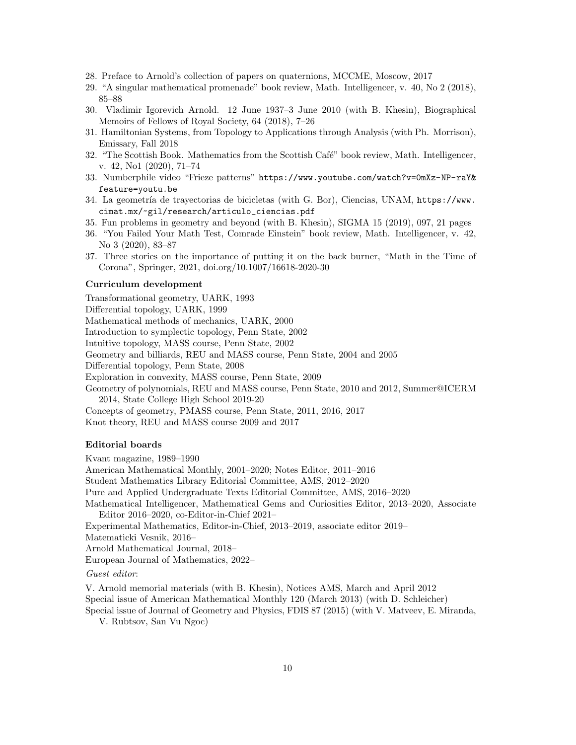- 28. Preface to Arnold's collection of papers on quaternions, MCCME, Moscow, 2017
- 29. "A singular mathematical promenade" book review, Math. Intelligencer, v. 40, No 2 (2018), 85–88
- 30. Vladimir Igorevich Arnold. 12 June 1937–3 June 2010 (with B. Khesin), Biographical Memoirs of Fellows of Royal Society, 64 (2018), 7–26
- 31. Hamiltonian Systems, from Topology to Applications through Analysis (with Ph. Morrison), Emissary, Fall 2018
- 32. "The Scottish Book. Mathematics from the Scottish Café" book review, Math. Intelligencer, v. 42, No1 (2020), 71–74
- 33. Numberphile video "Frieze patterns" https://www.youtube.com/watch?v=0mXz-NP-raY& feature=youtu.be
- 34. La geometría de trayectorias de bicicletas (with G. Bor), Ciencias, UNAM, https://www. cimat.mx/~gil/research/articulo\_ciencias.pdf
- 35. Fun problems in geometry and beyond (with B. Khesin), SIGMA 15 (2019), 097, 21 pages
- 36. "You Failed Your Math Test, Comrade Einstein" book review, Math. Intelligencer, v. 42, No 3 (2020), 83–87
- 37. Three stories on the importance of putting it on the back burner, "Math in the Time of Corona", Springer, 2021, doi.org/10.1007/16618-2020-30

## Curriculum development

Transformational geometry, UARK, 1993 Differential topology, UARK, 1999 Mathematical methods of mechanics, UARK, 2000 Introduction to symplectic topology, Penn State, 2002 Intuitive topology, MASS course, Penn State, 2002 Geometry and billiards, REU and MASS course, Penn State, 2004 and 2005 Differential topology, Penn State, 2008 Exploration in convexity, MASS course, Penn State, 2009 Geometry of polynomials, REU and MASS course, Penn State, 2010 and 2012, Summer@ICERM 2014, State College High School 2019-20 Concepts of geometry, PMASS course, Penn State, 2011, 2016, 2017 Knot theory, REU and MASS course 2009 and 2017

# Editorial boards

Kvant magazine, 1989–1990

American Mathematical Monthly, 2001–2020; Notes Editor, 2011–2016

Student Mathematics Library Editorial Committee, AMS, 2012–2020

Pure and Applied Undergraduate Texts Editorial Committee, AMS, 2016–2020

Mathematical Intelligencer, Mathematical Gems and Curiosities Editor, 2013–2020, Associate Editor 2016–2020, co-Editor-in-Chief 2021–

Experimental Mathematics, Editor-in-Chief, 2013–2019, associate editor 2019–

Matematicki Vesnik, 2016–

Arnold Mathematical Journal, 2018–

European Journal of Mathematics, 2022–

Guest editor:

V. Arnold memorial materials (with B. Khesin), Notices AMS, March and April 2012

Special issue of American Mathematical Monthly 120 (March 2013) (with D. Schleicher)

Special issue of Journal of Geometry and Physics, FDIS 87 (2015) (with V. Matveev, E. Miranda,

V. Rubtsov, San Vu Ngoc)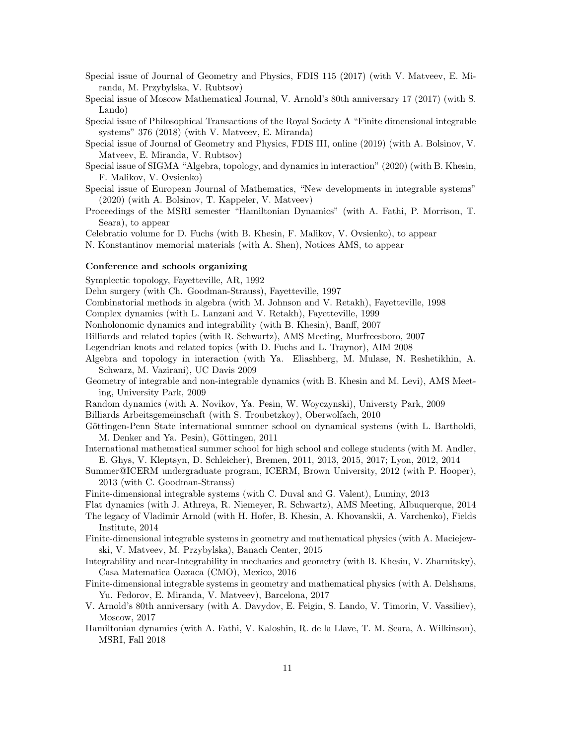- Special issue of Journal of Geometry and Physics, FDIS 115 (2017) (with V. Matveev, E. Miranda, M. Przybylska, V. Rubtsov)
- Special issue of Moscow Mathematical Journal, V. Arnold's 80th anniversary 17 (2017) (with S. Lando)
- Special issue of Philosophical Transactions of the Royal Society A "Finite dimensional integrable systems" 376 (2018) (with V. Matveev, E. Miranda)
- Special issue of Journal of Geometry and Physics, FDIS III, online (2019) (with A. Bolsinov, V. Matveev, E. Miranda, V. Rubtsov)
- Special issue of SIGMA "Algebra, topology, and dynamics in interaction" (2020) (with B. Khesin, F. Malikov, V. Ovsienko)
- Special issue of European Journal of Mathematics, "New developments in integrable systems" (2020) (with A. Bolsinov, T. Kappeler, V. Matveev)
- Proceedings of the MSRI semester "Hamiltonian Dynamics" (with A. Fathi, P. Morrison, T. Seara), to appear

Celebratio volume for D. Fuchs (with B. Khesin, F. Malikov, V. Ovsienko), to appear

N. Konstantinov memorial materials (with A. Shen), Notices AMS, to appear

## Conference and schools organizing

Symplectic topology, Fayetteville, AR, 1992

Dehn surgery (with Ch. Goodman-Strauss), Fayetteville, 1997

Combinatorial methods in algebra (with M. Johnson and V. Retakh), Fayetteville, 1998

Complex dynamics (with L. Lanzani and V. Retakh), Fayetteville, 1999

Nonholonomic dynamics and integrability (with B. Khesin), Banff, 2007

Billiards and related topics (with R. Schwartz), AMS Meeting, Murfreesboro, 2007

Legendrian knots and related topics (with D. Fuchs and L. Traynor), AIM 2008

- Algebra and topology in interaction (with Ya. Eliashberg, M. Mulase, N. Reshetikhin, A. Schwarz, M. Vazirani), UC Davis 2009
- Geometry of integrable and non-integrable dynamics (with B. Khesin and M. Levi), AMS Meeting, University Park, 2009

Random dynamics (with A. Novikov, Ya. Pesin, W. Woyczynski), Universty Park, 2009

Billiards Arbeitsgemeinschaft (with S. Troubetzkoy), Oberwolfach, 2010

Göttingen-Penn State international summer school on dynamical systems (with L. Bartholdi, M. Denker and Ya. Pesin), Göttingen, 2011

International mathematical summer school for high school and college students (with M. Andler, E. Ghys, V. Kleptsyn, D. Schleicher), Bremen, 2011, 2013, 2015, 2017; Lyon, 2012, 2014

Summer@ICERM undergraduate program, ICERM, Brown University, 2012 (with P. Hooper), 2013 (with C. Goodman-Strauss)

Finite-dimensional integrable systems (with C. Duval and G. Valent), Luminy, 2013

- Flat dynamics (with J. Athreya, R. Niemeyer, R. Schwartz), AMS Meeting, Albuquerque, 2014 The legacy of Vladimir Arnold (with H. Hofer, B. Khesin, A. Khovanskii, A. Varchenko), Fields
- Institute, 2014
- Finite-dimensional integrable systems in geometry and mathematical physics (with A. Maciejewski, V. Matveev, M. Przybylska), Banach Center, 2015

Integrability and near-Integrability in mechanics and geometry (with B. Khesin, V. Zharnitsky), Casa Matematica Oaxaca (CMO), Mexico, 2016

- Finite-dimensional integrable systems in geometry and mathematical physics (with A. Delshams, Yu. Fedorov, E. Miranda, V. Matveev), Barcelona, 2017
- V. Arnold's 80th anniversary (with A. Davydov, E. Feigin, S. Lando, V. Timorin, V. Vassiliev), Moscow, 2017

Hamiltonian dynamics (with A. Fathi, V. Kaloshin, R. de la Llave, T. M. Seara, A. Wilkinson), MSRI, Fall 2018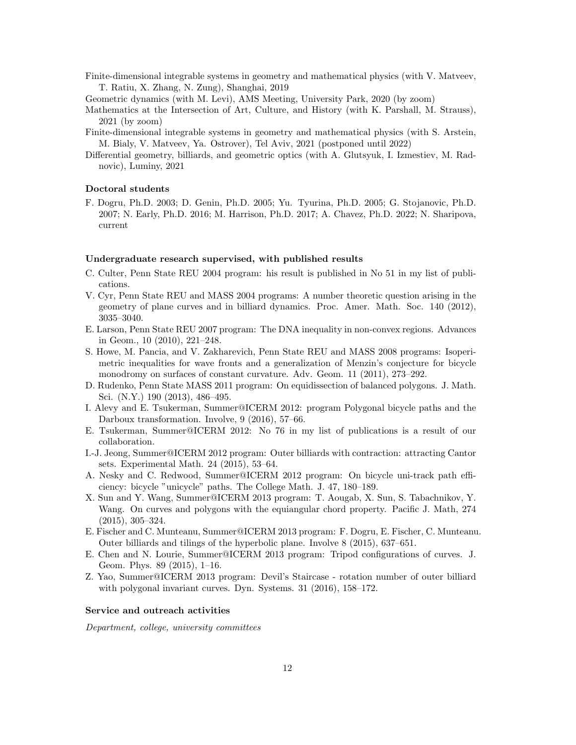- Finite-dimensional integrable systems in geometry and mathematical physics (with V. Matveev, T. Ratiu, X. Zhang, N. Zung), Shanghai, 2019
- Geometric dynamics (with M. Levi), AMS Meeting, University Park, 2020 (by zoom)
- Mathematics at the Intersection of Art, Culture, and History (with K. Parshall, M. Strauss), 2021 (by zoom)
- Finite-dimensional integrable systems in geometry and mathematical physics (with S. Arstein, M. Bialy, V. Matveev, Ya. Ostrover), Tel Aviv, 2021 (postponed until 2022)
- Differential geometry, billiards, and geometric optics (with A. Glutsyuk, I. Izmestiev, M. Radnovic), Luminy, 2021

# Doctoral students

F. Dogru, Ph.D. 2003; D. Genin, Ph.D. 2005; Yu. Tyurina, Ph.D. 2005; G. Stojanovic, Ph.D. 2007; N. Early, Ph.D. 2016; M. Harrison, Ph.D. 2017; A. Chavez, Ph.D. 2022; N. Sharipova, current

#### Undergraduate research supervised, with published results

- C. Culter, Penn State REU 2004 program: his result is published in No 51 in my list of publications.
- V. Cyr, Penn State REU and MASS 2004 programs: A number theoretic question arising in the geometry of plane curves and in billiard dynamics. Proc. Amer. Math. Soc. 140 (2012), 3035–3040.
- E. Larson, Penn State REU 2007 program: The DNA inequality in non-convex regions. Advances in Geom., 10 (2010), 221–248.
- S. Howe, M. Pancia, and V. Zakharevich, Penn State REU and MASS 2008 programs: Isoperimetric inequalities for wave fronts and a generalization of Menzin's conjecture for bicycle monodromy on surfaces of constant curvature. Adv. Geom. 11 (2011), 273–292.
- D. Rudenko, Penn State MASS 2011 program: On equidissection of balanced polygons. J. Math. Sci. (N.Y.) 190 (2013), 486–495.
- I. Alevy and E. Tsukerman, Summer@ICERM 2012: program Polygonal bicycle paths and the Darboux transformation. Involve, 9 (2016), 57–66.
- E. Tsukerman, Summer@ICERM 2012: No 76 in my list of publications is a result of our collaboration.
- I.-J. Jeong, Summer@ICERM 2012 program: Outer billiards with contraction: attracting Cantor sets. Experimental Math. 24 (2015), 53–64.
- A. Nesky and C. Redwood, Summer@ICERM 2012 program: On bicycle uni-track path efficiency: bicycle "unicycle" paths. The College Math. J. 47, 180–189.
- X. Sun and Y. Wang, Summer@ICERM 2013 program: T. Aougab, X. Sun, S. Tabachnikov, Y. Wang. On curves and polygons with the equiangular chord property. Pacific J. Math, 274 (2015), 305–324.
- E. Fischer and C. Munteanu, Summer@ICERM 2013 program: F. Dogru, E. Fischer, C. Munteanu. Outer billiards and tilings of the hyperbolic plane. Involve 8 (2015), 637–651.
- E. Chen and N. Lourie, Summer@ICERM 2013 program: Tripod configurations of curves. J. Geom. Phys. 89 (2015), 1–16.
- Z. Yao, Summer@ICERM 2013 program: Devil's Staircase rotation number of outer billiard with polygonal invariant curves. Dyn. Systems. 31 (2016), 158–172.

## Service and outreach activities

Department, college, university committees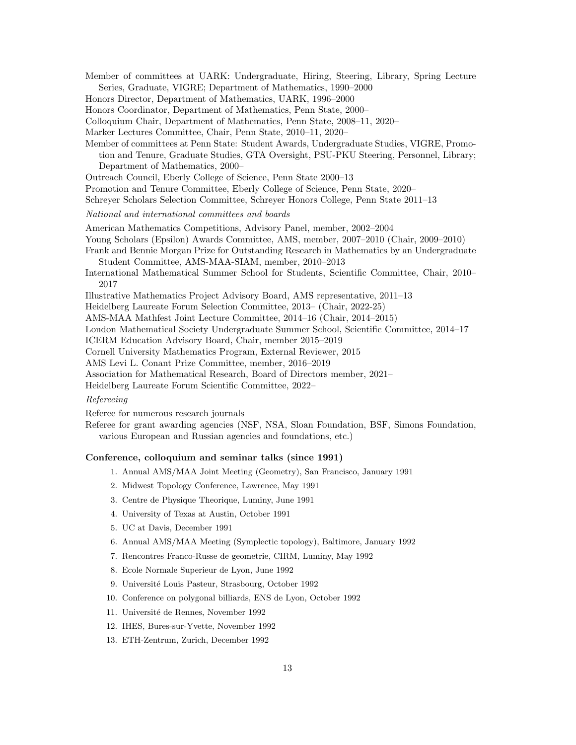- Member of committees at UARK: Undergraduate, Hiring, Steering, Library, Spring Lecture Series, Graduate, VIGRE; Department of Mathematics, 1990–2000
- Honors Director, Department of Mathematics, UARK, 1996–2000
- Honors Coordinator, Department of Mathematics, Penn State, 2000–
- Colloquium Chair, Department of Mathematics, Penn State, 2008–11, 2020–
- Marker Lectures Committee, Chair, Penn State, 2010–11, 2020–
- Member of committees at Penn State: Student Awards, Undergraduate Studies, VIGRE, Promotion and Tenure, Graduate Studies, GTA Oversight, PSU-PKU Steering, Personnel, Library; Department of Mathematics, 2000–
- Outreach Council, Eberly College of Science, Penn State 2000–13
- Promotion and Tenure Committee, Eberly College of Science, Penn State, 2020–
- Schreyer Scholars Selection Committee, Schreyer Honors College, Penn State 2011–13

National and international committees and boards

- American Mathematics Competitions, Advisory Panel, member, 2002–2004
- Young Scholars (Epsilon) Awards Committee, AMS, member, 2007–2010 (Chair, 2009–2010)
- Frank and Bennie Morgan Prize for Outstanding Research in Mathematics by an Undergraduate Student Committee, AMS-MAA-SIAM, member, 2010–2013
- International Mathematical Summer School for Students, Scientific Committee, Chair, 2010– 2017
- Illustrative Mathematics Project Advisory Board, AMS representative, 2011–13
- Heidelberg Laureate Forum Selection Committee, 2013– (Chair, 2022-25)
- AMS-MAA Mathfest Joint Lecture Committee, 2014–16 (Chair, 2014–2015)
- London Mathematical Society Undergraduate Summer School, Scientific Committee, 2014–17

ICERM Education Advisory Board, Chair, member 2015–2019

Cornell University Mathematics Program, External Reviewer, 2015

AMS Levi L. Conant Prize Committee, member, 2016–2019

Association for Mathematical Research, Board of Directors member, 2021–

Heidelberg Laureate Forum Scientific Committee, 2022–

## Refereeing

Referee for numerous research journals

Referee for grant awarding agencies (NSF, NSA, Sloan Foundation, BSF, Simons Foundation, various European and Russian agencies and foundations, etc.)

# Conference, colloquium and seminar talks (since 1991)

- 1. Annual AMS/MAA Joint Meeting (Geometry), San Francisco, January 1991
- 2. Midwest Topology Conference, Lawrence, May 1991
- 3. Centre de Physique Theorique, Luminy, June 1991
- 4. University of Texas at Austin, October 1991
- 5. UC at Davis, December 1991
- 6. Annual AMS/MAA Meeting (Symplectic topology), Baltimore, January 1992
- 7. Rencontres Franco-Russe de geometrie, CIRM, Luminy, May 1992
- 8. Ecole Normale Superieur de Lyon, June 1992
- 9. Université Louis Pasteur, Strasbourg, October 1992
- 10. Conference on polygonal billiards, ENS de Lyon, October 1992
- 11. Université de Rennes, November 1992
- 12. IHES, Bures-sur-Yvette, November 1992
- 13. ETH-Zentrum, Zurich, December 1992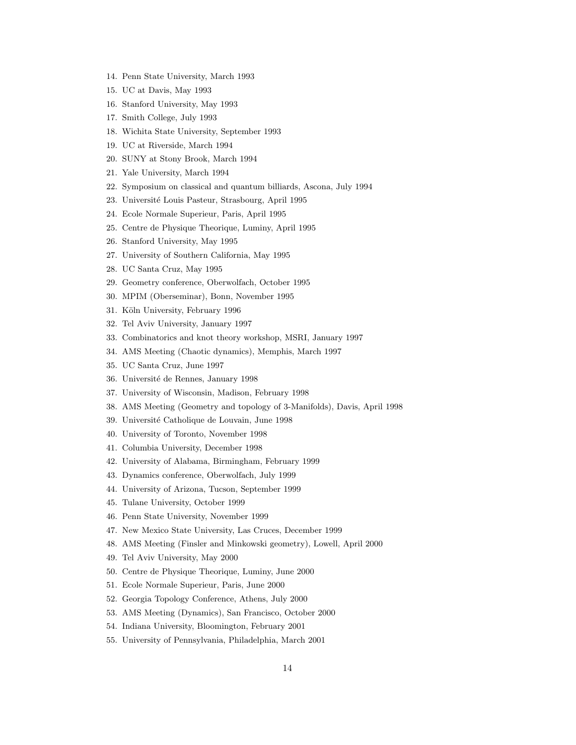- 14. Penn State University, March 1993
- 15. UC at Davis, May 1993
- 16. Stanford University, May 1993
- 17. Smith College, July 1993
- 18. Wichita State University, September 1993
- 19. UC at Riverside, March 1994
- 20. SUNY at Stony Brook, March 1994
- 21. Yale University, March 1994
- 22. Symposium on classical and quantum billiards, Ascona, July 1994
- 23. Université Louis Pasteur, Strasbourg, April 1995
- 24. Ecole Normale Superieur, Paris, April 1995
- 25. Centre de Physique Theorique, Luminy, April 1995
- 26. Stanford University, May 1995
- 27. University of Southern California, May 1995
- 28. UC Santa Cruz, May 1995
- 29. Geometry conference, Oberwolfach, October 1995
- 30. MPIM (Oberseminar), Bonn, November 1995
- 31. Köln University, February 1996
- 32. Tel Aviv University, January 1997
- 33. Combinatorics and knot theory workshop, MSRI, January 1997
- 34. AMS Meeting (Chaotic dynamics), Memphis, March 1997
- 35. UC Santa Cruz, June 1997
- 36. Université de Rennes, January 1998
- 37. University of Wisconsin, Madison, February 1998
- 38. AMS Meeting (Geometry and topology of 3-Manifolds), Davis, April 1998
- 39. Université Catholique de Louvain, June 1998
- 40. University of Toronto, November 1998
- 41. Columbia University, December 1998
- 42. University of Alabama, Birmingham, February 1999
- 43. Dynamics conference, Oberwolfach, July 1999
- 44. University of Arizona, Tucson, September 1999
- 45. Tulane University, October 1999
- 46. Penn State University, November 1999
- 47. New Mexico State University, Las Cruces, December 1999
- 48. AMS Meeting (Finsler and Minkowski geometry), Lowell, April 2000
- 49. Tel Aviv University, May 2000
- 50. Centre de Physique Theorique, Luminy, June 2000
- 51. Ecole Normale Superieur, Paris, June 2000
- 52. Georgia Topology Conference, Athens, July 2000
- 53. AMS Meeting (Dynamics), San Francisco, October 2000
- 54. Indiana University, Bloomington, February 2001
- 55. University of Pennsylvania, Philadelphia, March 2001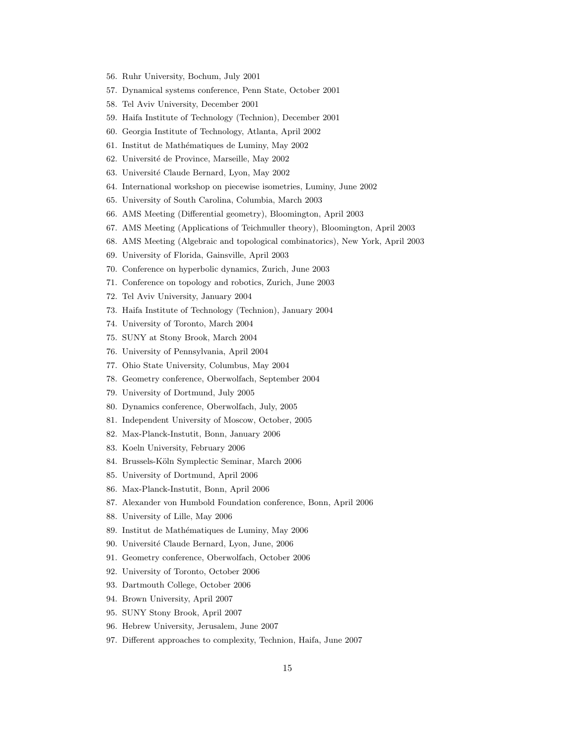- 56. Ruhr University, Bochum, July 2001
- 57. Dynamical systems conference, Penn State, October 2001
- 58. Tel Aviv University, December 2001
- 59. Haifa Institute of Technology (Technion), December 2001
- 60. Georgia Institute of Technology, Atlanta, April 2002
- 61. Institut de Math´ematiques de Luminy, May 2002
- 62. Université de Province, Marseille, May 2002
- 63. Université Claude Bernard, Lyon, May 2002
- 64. International workshop on piecewise isometries, Luminy, June 2002
- 65. University of South Carolina, Columbia, March 2003
- 66. AMS Meeting (Differential geometry), Bloomington, April 2003
- 67. AMS Meeting (Applications of Teichmuller theory), Bloomington, April 2003
- 68. AMS Meeting (Algebraic and topological combinatorics), New York, April 2003
- 69. University of Florida, Gainsville, April 2003
- 70. Conference on hyperbolic dynamics, Zurich, June 2003
- 71. Conference on topology and robotics, Zurich, June 2003
- 72. Tel Aviv University, January 2004
- 73. Haifa Institute of Technology (Technion), January 2004
- 74. University of Toronto, March 2004
- 75. SUNY at Stony Brook, March 2004
- 76. University of Pennsylvania, April 2004
- 77. Ohio State University, Columbus, May 2004
- 78. Geometry conference, Oberwolfach, September 2004
- 79. University of Dortmund, July 2005
- 80. Dynamics conference, Oberwolfach, July, 2005
- 81. Independent University of Moscow, October, 2005
- 82. Max-Planck-Instutit, Bonn, January 2006
- 83. Koeln University, February 2006
- 84. Brussels-Köln Symplectic Seminar, March 2006
- 85. University of Dortmund, April 2006
- 86. Max-Planck-Instutit, Bonn, April 2006
- 87. Alexander von Humbold Foundation conference, Bonn, April 2006
- 88. University of Lille, May 2006
- 89. Institut de Mathématiques de Luminy, May 2006
- 90. Université Claude Bernard, Lyon, June, 2006
- 91. Geometry conference, Oberwolfach, October 2006
- 92. University of Toronto, October 2006
- 93. Dartmouth College, October 2006
- 94. Brown University, April 2007
- 95. SUNY Stony Brook, April 2007
- 96. Hebrew University, Jerusalem, June 2007
- 97. Different approaches to complexity, Technion, Haifa, June 2007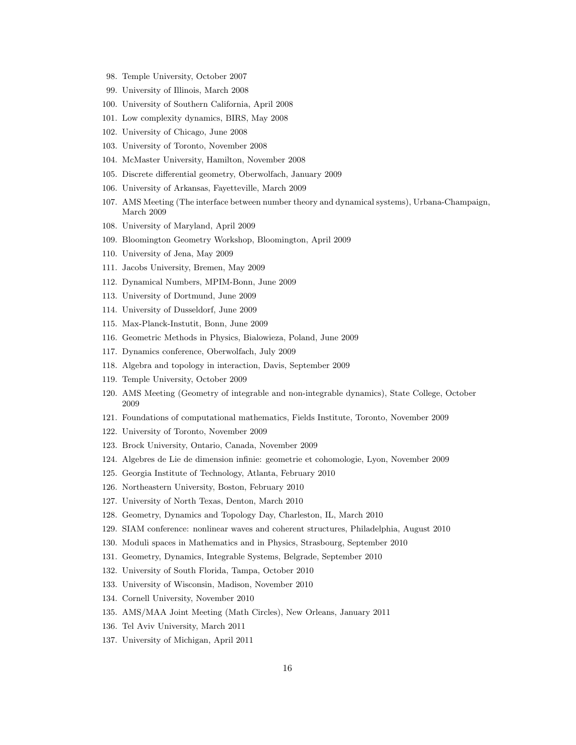- 98. Temple University, October 2007
- 99. University of Illinois, March 2008
- 100. University of Southern California, April 2008
- 101. Low complexity dynamics, BIRS, May 2008
- 102. University of Chicago, June 2008
- 103. University of Toronto, November 2008
- 104. McMaster University, Hamilton, November 2008
- 105. Discrete differential geometry, Oberwolfach, January 2009
- 106. University of Arkansas, Fayetteville, March 2009
- 107. AMS Meeting (The interface between number theory and dynamical systems), Urbana-Champaign, March 2009
- 108. University of Maryland, April 2009
- 109. Bloomington Geometry Workshop, Bloomington, April 2009
- 110. University of Jena, May 2009
- 111. Jacobs University, Bremen, May 2009
- 112. Dynamical Numbers, MPIM-Bonn, June 2009
- 113. University of Dortmund, June 2009
- 114. University of Dusseldorf, June 2009
- 115. Max-Planck-Instutit, Bonn, June 2009
- 116. Geometric Methods in Physics, Bialowieza, Poland, June 2009
- 117. Dynamics conference, Oberwolfach, July 2009
- 118. Algebra and topology in interaction, Davis, September 2009
- 119. Temple University, October 2009
- 120. AMS Meeting (Geometry of integrable and non-integrable dynamics), State College, October 2009
- 121. Foundations of computational mathematics, Fields Institute, Toronto, November 2009
- 122. University of Toronto, November 2009
- 123. Brock University, Ontario, Canada, November 2009
- 124. Algebres de Lie de dimension infinie: geometrie et cohomologie, Lyon, November 2009
- 125. Georgia Institute of Technology, Atlanta, February 2010
- 126. Northeastern University, Boston, February 2010
- 127. University of North Texas, Denton, March 2010
- 128. Geometry, Dynamics and Topology Day, Charleston, IL, March 2010
- 129. SIAM conference: nonlinear waves and coherent structures, Philadelphia, August 2010
- 130. Moduli spaces in Mathematics and in Physics, Strasbourg, September 2010
- 131. Geometry, Dynamics, Integrable Systems, Belgrade, September 2010
- 132. University of South Florida, Tampa, October 2010
- 133. University of Wisconsin, Madison, November 2010
- 134. Cornell University, November 2010
- 135. AMS/MAA Joint Meeting (Math Circles), New Orleans, January 2011
- 136. Tel Aviv University, March 2011
- 137. University of Michigan, April 2011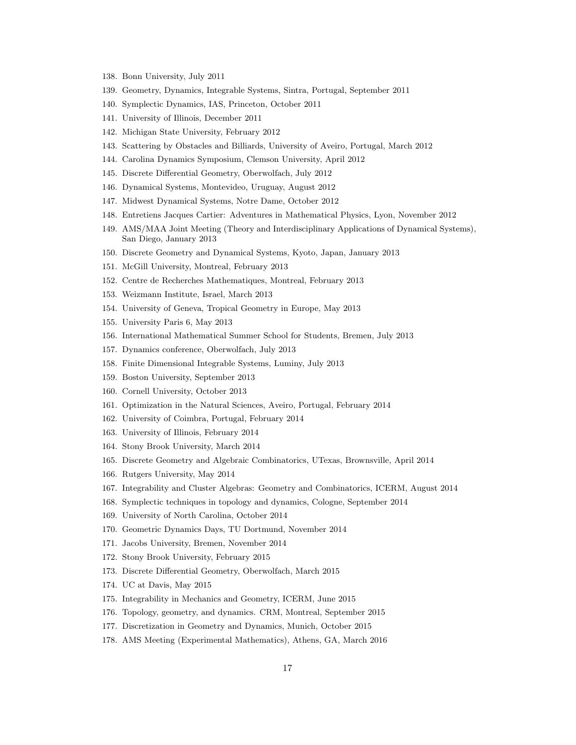- 138. Bonn University, July 2011
- 139. Geometry, Dynamics, Integrable Systems, Sintra, Portugal, September 2011
- 140. Symplectic Dynamics, IAS, Princeton, October 2011
- 141. University of Illinois, December 2011
- 142. Michigan State University, February 2012
- 143. Scattering by Obstacles and Billiards, University of Aveiro, Portugal, March 2012
- 144. Carolina Dynamics Symposium, Clemson University, April 2012
- 145. Discrete Differential Geometry, Oberwolfach, July 2012
- 146. Dynamical Systems, Montevideo, Uruguay, August 2012
- 147. Midwest Dynamical Systems, Notre Dame, October 2012
- 148. Entretiens Jacques Cartier: Adventures in Mathematical Physics, Lyon, November 2012
- 149. AMS/MAA Joint Meeting (Theory and Interdisciplinary Applications of Dynamical Systems), San Diego, January 2013
- 150. Discrete Geometry and Dynamical Systems, Kyoto, Japan, January 2013
- 151. McGill University, Montreal, February 2013
- 152. Centre de Recherches Mathematiques, Montreal, February 2013
- 153. Weizmann Institute, Israel, March 2013
- 154. University of Geneva, Tropical Geometry in Europe, May 2013
- 155. University Paris 6, May 2013
- 156. International Mathematical Summer School for Students, Bremen, July 2013
- 157. Dynamics conference, Oberwolfach, July 2013
- 158. Finite Dimensional Integrable Systems, Luminy, July 2013
- 159. Boston University, September 2013
- 160. Cornell University, October 2013
- 161. Optimization in the Natural Sciences, Aveiro, Portugal, February 2014
- 162. University of Coimbra, Portugal, February 2014
- 163. University of Illinois, February 2014
- 164. Stony Brook University, March 2014
- 165. Discrete Geometry and Algebraic Combinatorics, UTexas, Brownsville, April 2014
- 166. Rutgers University, May 2014
- 167. Integrability and Cluster Algebras: Geometry and Combinatorics, ICERM, August 2014
- 168. Symplectic techniques in topology and dynamics, Cologne, September 2014
- 169. University of North Carolina, October 2014
- 170. Geometric Dynamics Days, TU Dortmund, November 2014
- 171. Jacobs University, Bremen, November 2014
- 172. Stony Brook University, February 2015
- 173. Discrete Differential Geometry, Oberwolfach, March 2015
- 174. UC at Davis, May 2015
- 175. Integrability in Mechanics and Geometry, ICERM, June 2015
- 176. Topology, geometry, and dynamics. CRM, Montreal, September 2015
- 177. Discretization in Geometry and Dynamics, Munich, October 2015
- 178. AMS Meeting (Experimental Mathematics), Athens, GA, March 2016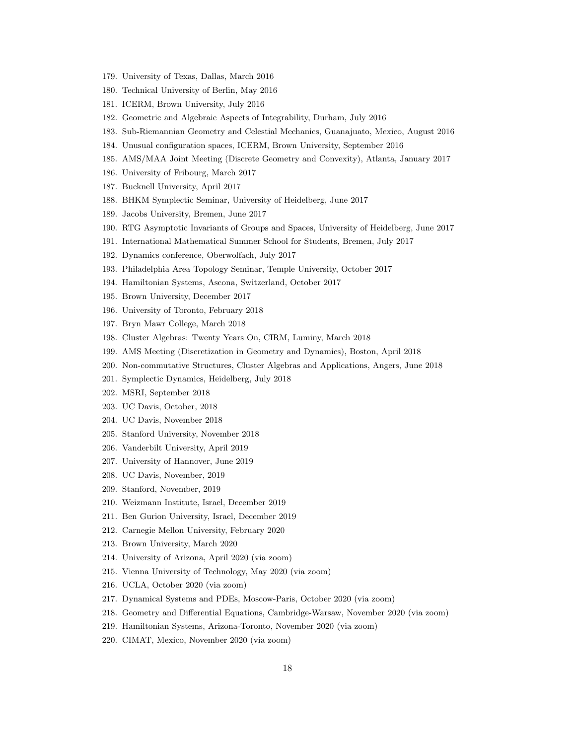- 179. University of Texas, Dallas, March 2016
- 180. Technical University of Berlin, May 2016
- 181. ICERM, Brown University, July 2016
- 182. Geometric and Algebraic Aspects of Integrability, Durham, July 2016
- 183. Sub-Riemannian Geometry and Celestial Mechanics, Guanajuato, Mexico, August 2016
- 184. Unusual configuration spaces, ICERM, Brown University, September 2016
- 185. AMS/MAA Joint Meeting (Discrete Geometry and Convexity), Atlanta, January 2017
- 186. University of Fribourg, March 2017
- 187. Bucknell University, April 2017
- 188. BHKM Symplectic Seminar, University of Heidelberg, June 2017
- 189. Jacobs University, Bremen, June 2017
- 190. RTG Asymptotic Invariants of Groups and Spaces, University of Heidelberg, June 2017
- 191. International Mathematical Summer School for Students, Bremen, July 2017
- 192. Dynamics conference, Oberwolfach, July 2017
- 193. Philadelphia Area Topology Seminar, Temple University, October 2017
- 194. Hamiltonian Systems, Ascona, Switzerland, October 2017
- 195. Brown University, December 2017
- 196. University of Toronto, February 2018
- 197. Bryn Mawr College, March 2018
- 198. Cluster Algebras: Twenty Years On, CIRM, Luminy, March 2018
- 199. AMS Meeting (Discretization in Geometry and Dynamics), Boston, April 2018
- 200. Non-commutative Structures, Cluster Algebras and Applications, Angers, June 2018
- 201. Symplectic Dynamics, Heidelberg, July 2018
- 202. MSRI, September 2018
- 203. UC Davis, October, 2018
- 204. UC Davis, November 2018
- 205. Stanford University, November 2018
- 206. Vanderbilt University, April 2019
- 207. University of Hannover, June 2019
- 208. UC Davis, November, 2019
- 209. Stanford, November, 2019
- 210. Weizmann Institute, Israel, December 2019
- 211. Ben Gurion University, Israel, December 2019
- 212. Carnegie Mellon University, February 2020
- 213. Brown University, March 2020
- 214. University of Arizona, April 2020 (via zoom)
- 215. Vienna University of Technology, May 2020 (via zoom)
- 216. UCLA, October 2020 (via zoom)
- 217. Dynamical Systems and PDEs, Moscow-Paris, October 2020 (via zoom)
- 218. Geometry and Differential Equations, Cambridge-Warsaw, November 2020 (via zoom)
- 219. Hamiltonian Systems, Arizona-Toronto, November 2020 (via zoom)
- 220. CIMAT, Mexico, November 2020 (via zoom)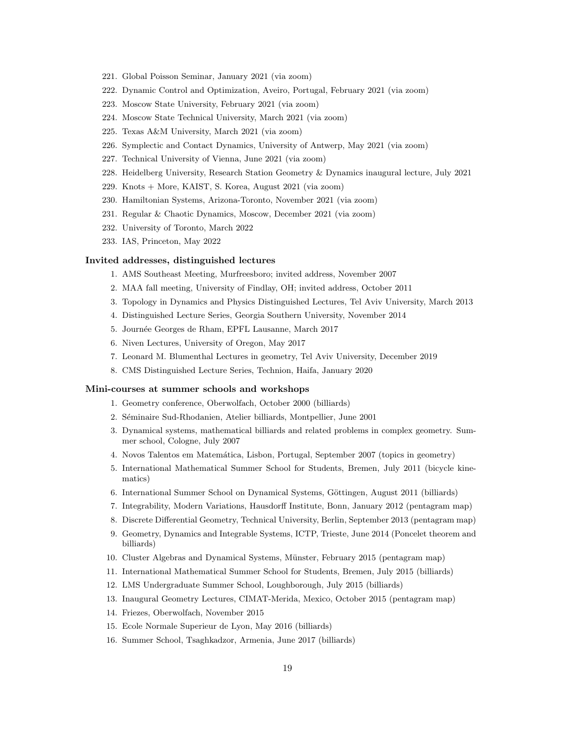- 221. Global Poisson Seminar, January 2021 (via zoom)
- 222. Dynamic Control and Optimization, Aveiro, Portugal, February 2021 (via zoom)
- 223. Moscow State University, February 2021 (via zoom)
- 224. Moscow State Technical University, March 2021 (via zoom)
- 225. Texas A&M University, March 2021 (via zoom)
- 226. Symplectic and Contact Dynamics, University of Antwerp, May 2021 (via zoom)
- 227. Technical University of Vienna, June 2021 (via zoom)
- 228. Heidelberg University, Research Station Geometry & Dynamics inaugural lecture, July 2021
- 229. Knots + More, KAIST, S. Korea, August 2021 (via zoom)
- 230. Hamiltonian Systems, Arizona-Toronto, November 2021 (via zoom)
- 231. Regular & Chaotic Dynamics, Moscow, December 2021 (via zoom)
- 232. University of Toronto, March 2022
- 233. IAS, Princeton, May 2022

#### Invited addresses, distinguished lectures

- 1. AMS Southeast Meeting, Murfreesboro; invited address, November 2007
- 2. MAA fall meeting, University of Findlay, OH; invited address, October 2011
- 3. Topology in Dynamics and Physics Distinguished Lectures, Tel Aviv University, March 2013
- 4. Distinguished Lecture Series, Georgia Southern University, November 2014
- 5. Journ´ee Georges de Rham, EPFL Lausanne, March 2017
- 6. Niven Lectures, University of Oregon, May 2017
- 7. Leonard M. Blumenthal Lectures in geometry, Tel Aviv University, December 2019
- 8. CMS Distinguished Lecture Series, Technion, Haifa, January 2020

#### Mini-courses at summer schools and workshops

- 1. Geometry conference, Oberwolfach, October 2000 (billiards)
- 2. Séminaire Sud-Rhodanien, Atelier billiards, Montpellier, June 2001
- 3. Dynamical systems, mathematical billiards and related problems in complex geometry. Summer school, Cologne, July 2007
- 4. Novos Talentos em Matem´atica, Lisbon, Portugal, September 2007 (topics in geometry)
- 5. International Mathematical Summer School for Students, Bremen, July 2011 (bicycle kinematics)
- 6. International Summer School on Dynamical Systems, Göttingen, August 2011 (billiards)
- 7. Integrability, Modern Variations, Hausdorff Institute, Bonn, January 2012 (pentagram map)
- 8. Discrete Differential Geometry, Technical University, Berlin, September 2013 (pentagram map)
- 9. Geometry, Dynamics and Integrable Systems, ICTP, Trieste, June 2014 (Poncelet theorem and billiards)
- 10. Cluster Algebras and Dynamical Systems, Münster, February 2015 (pentagram map)
- 11. International Mathematical Summer School for Students, Bremen, July 2015 (billiards)
- 12. LMS Undergraduate Summer School, Loughborough, July 2015 (billiards)
- 13. Inaugural Geometry Lectures, CIMAT-Merida, Mexico, October 2015 (pentagram map)
- 14. Friezes, Oberwolfach, November 2015
- 15. Ecole Normale Superieur de Lyon, May 2016 (billiards)
- 16. Summer School, Tsaghkadzor, Armenia, June 2017 (billiards)